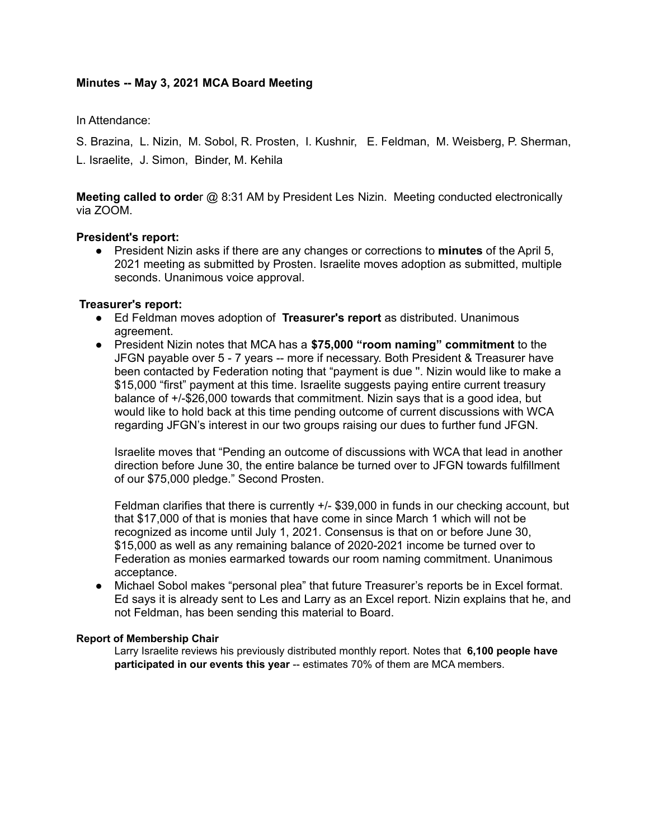# **Minutes -- May 3, 2021 MCA Board Meeting**

In Attendance:

S. Brazina, L. Nizin, M. Sobol, R. Prosten, I. Kushnir, E. Feldman, M. Weisberg, P. Sherman, L. Israelite, J. Simon, Binder, M. Kehila

**Meeting called to orde**r @ 8:31 AM by President Les Nizin. Meeting conducted electronically via ZOOM.

## **President's report:**

● President Nizin asks if there are any changes or corrections to **minutes** of the April 5, 2021 meeting as submitted by Prosten. Israelite moves adoption as submitted, multiple seconds. Unanimous voice approval.

## **Treasurer's report:**

- Ed Feldman moves adoption of **Treasurer's report** as distributed. Unanimous agreement.
- President Nizin notes that MCA has a **\$75,000 "room naming" commitment** to the JFGN payable over 5 - 7 years -- more if necessary. Both President & Treasurer have been contacted by Federation noting that "payment is due ''. Nizin would like to make a \$15,000 "first" payment at this time. Israelite suggests paying entire current treasury balance of +/-\$26,000 towards that commitment. Nizin says that is a good idea, but would like to hold back at this time pending outcome of current discussions with WCA regarding JFGN's interest in our two groups raising our dues to further fund JFGN.

Israelite moves that "Pending an outcome of discussions with WCA that lead in another direction before June 30, the entire balance be turned over to JFGN towards fulfillment of our \$75,000 pledge." Second Prosten.

Feldman clarifies that there is currently +/- \$39,000 in funds in our checking account, but that \$17,000 of that is monies that have come in since March 1 which will not be recognized as income until July 1, 2021. Consensus is that on or before June 30, \$15,000 as well as any remaining balance of 2020-2021 income be turned over to Federation as monies earmarked towards our room naming commitment. Unanimous acceptance.

• Michael Sobol makes "personal plea" that future Treasurer's reports be in Excel format. Ed says it is already sent to Les and Larry as an Excel report. Nizin explains that he, and not Feldman, has been sending this material to Board.

## **Report of Membership Chair**

Larry Israelite reviews his previously distributed monthly report. Notes that **6,100 people have participated in our events this year** -- estimates 70% of them are MCA members.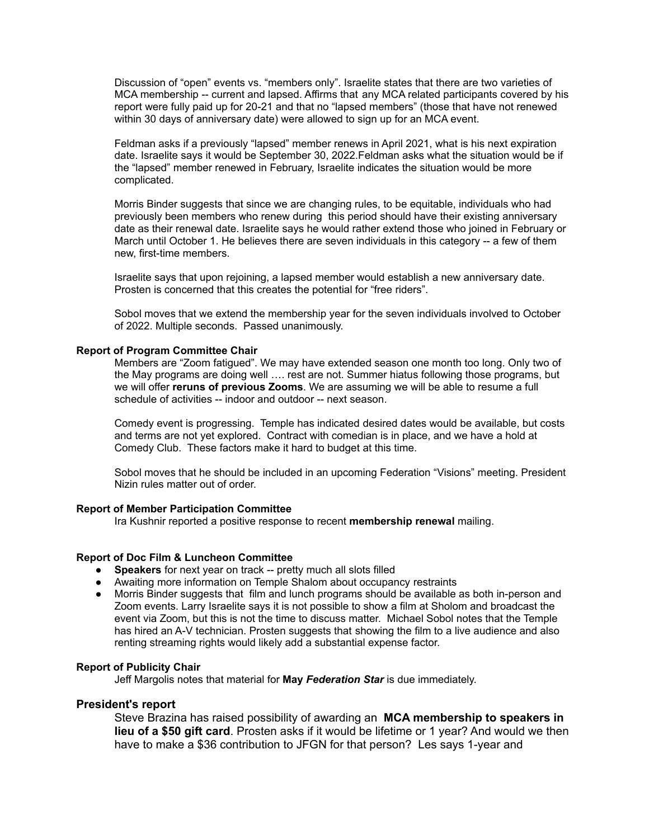Discussion of "open" events vs. "members only". Israelite states that there are two varieties of MCA membership -- current and lapsed. Affirms that any MCA related participants covered by his report were fully paid up for 20-21 and that no "lapsed members" (those that have not renewed within 30 days of anniversary date) were allowed to sign up for an MCA event.

Feldman asks if a previously "lapsed" member renews in April 2021, what is his next expiration date. Israelite says it would be September 30, 2022.Feldman asks what the situation would be if the "lapsed" member renewed in February, Israelite indicates the situation would be more complicated.

Morris Binder suggests that since we are changing rules, to be equitable, individuals who had previously been members who renew during this period should have their existing anniversary date as their renewal date. Israelite says he would rather extend those who joined in February or March until October 1. He believes there are seven individuals in this category -- a few of them new, first-time members.

Israelite says that upon rejoining, a lapsed member would establish a new anniversary date. Prosten is concerned that this creates the potential for "free riders".

Sobol moves that we extend the membership year for the seven individuals involved to October of 2022. Multiple seconds. Passed unanimously.

#### **Report of Program Committee Chair**

Members are "Zoom fatigued". We may have extended season one month too long. Only two of the May programs are doing well …. rest are not. Summer hiatus following those programs, but we will offer **reruns of previous Zooms**. We are assuming we will be able to resume a full schedule of activities -- indoor and outdoor -- next season.

Comedy event is progressing. Temple has indicated desired dates would be available, but costs and terms are not yet explored. Contract with comedian is in place, and we have a hold at Comedy Club. These factors make it hard to budget at this time.

Sobol moves that he should be included in an upcoming Federation "Visions" meeting. President Nizin rules matter out of order.

#### **Report of Member Participation Committee**

Ira Kushnir reported a positive response to recent **membership renewal** mailing.

#### **Report of Doc Film & Luncheon Committee**

- **Speakers** for next year on track -- pretty much all slots filled
- Awaiting more information on Temple Shalom about occupancy restraints
- Morris Binder suggests that film and lunch programs should be available as both in-person and Zoom events. Larry Israelite says it is not possible to show a film at Sholom and broadcast the event via Zoom, but this is not the time to discuss matter. Michael Sobol notes that the Temple has hired an A-V technician. Prosten suggests that showing the film to a live audience and also renting streaming rights would likely add a substantial expense factor.

### **Report of Publicity Chair**

Jeff Margolis notes that material for **May** *Federation Star* is due immediately.

### **President's report**

Steve Brazina has raised possibility of awarding an **MCA membership to speakers in lieu of a \$50 gift card**. Prosten asks if it would be lifetime or 1 year? And would we then have to make a \$36 contribution to JFGN for that person? Les says 1-year and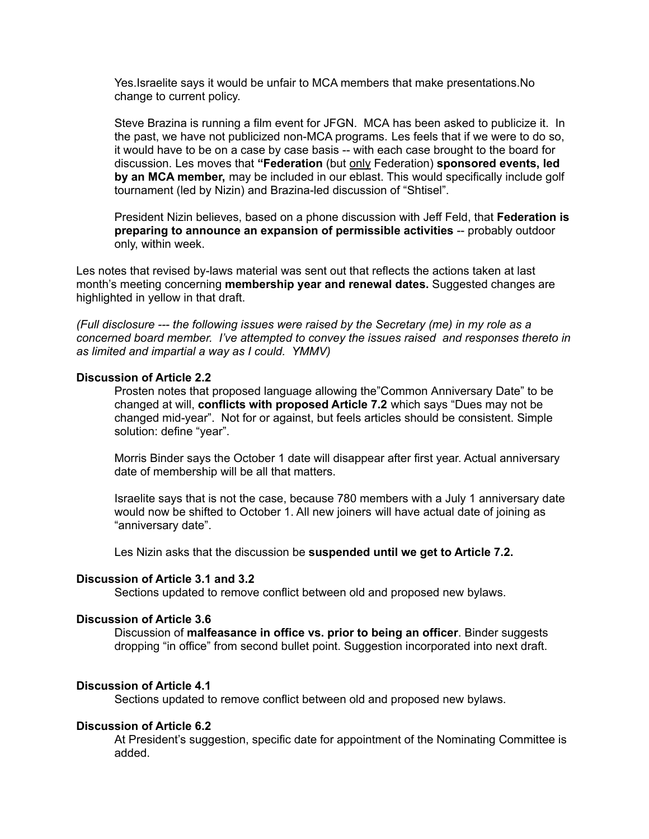Yes.Israelite says it would be unfair to MCA members that make presentations.No change to current policy.

Steve Brazina is running a film event for JFGN. MCA has been asked to publicize it. In the past, we have not publicized non-MCA programs. Les feels that if we were to do so, it would have to be on a case by case basis -- with each case brought to the board for discussion. Les moves that **"Federation** (but only Federation) **sponsored events, led by an MCA member,** may be included in our eblast. This would specifically include golf tournament (led by Nizin) and Brazina-led discussion of "Shtisel".

President Nizin believes, based on a phone discussion with Jeff Feld, that **Federation is preparing to announce an expansion of permissible activities** -- probably outdoor only, within week.

Les notes that revised by-laws material was sent out that reflects the actions taken at last month's meeting concerning **membership year and renewal dates.** Suggested changes are highlighted in yellow in that draft.

*(Full disclosure --- the following issues were raised by the Secretary (me) in my role as a concerned board member. I've attempted to convey the issues raised and responses thereto in as limited and impartial a way as I could. YMMV)*

### **Discussion of Article 2.2**

Prosten notes that proposed language allowing the"Common Anniversary Date" to be changed at will, **conflicts with proposed Article 7.2** which says "Dues may not be changed mid-year". Not for or against, but feels articles should be consistent. Simple solution: define "year".

Morris Binder says the October 1 date will disappear after first year. Actual anniversary date of membership will be all that matters.

Israelite says that is not the case, because 780 members with a July 1 anniversary date would now be shifted to October 1. All new joiners will have actual date of joining as "anniversary date".

Les Nizin asks that the discussion be **suspended until we get to Article 7.2.**

### **Discussion of Article 3.1 and 3.2**

Sections updated to remove conflict between old and proposed new bylaws.

## **Discussion of Article 3.6**

Discussion of **malfeasance in office vs. prior to being an officer**. Binder suggests dropping "in office" from second bullet point. Suggestion incorporated into next draft.

### **Discussion of Article 4.1**

Sections updated to remove conflict between old and proposed new bylaws.

### **Discussion of Article 6.2**

At President's suggestion, specific date for appointment of the Nominating Committee is added.